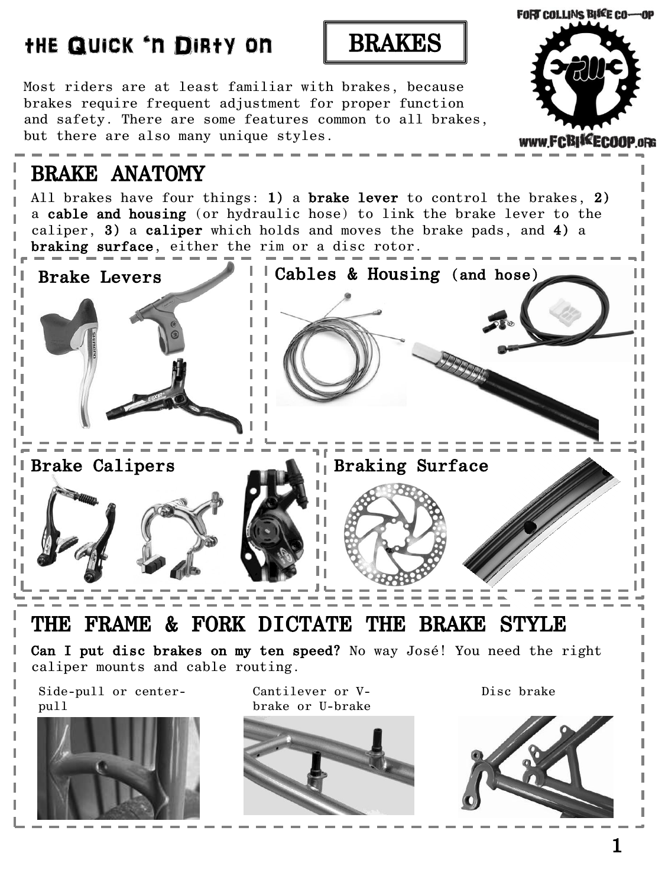### Most riders are at least familiar with brakes, because brakes require frequent adjustment for proper function and safety. There are some features common to all brakes, but there are also many unique styles. www.FCBISEECOOP.oRG BRAKE ANATOMY All brakes have four things: 1) a brake lever to control the brakes, 2) a cable and housing (or hydraulic hose) to link the brake lever to the caliper, 3) a caliper which holds and moves the brake pads, and 4) a braking surface, either the rim or a disc rotor. Brake Levers **Cables & Housing (and hose)** Ш п Н L, Ш П Н П П Н П Ш n e Brake Calipers **Braking Surface** μL μI H ΗI П H H THE FRAME & FORK DICTATE THE BRAKE STYLE Can I put disc brakes on my ten speed? No way José! You need the right caliper mounts and cable routing. Side-pull or center-Cantilever or V-Disc brakepull brake or U-brake

the Quick 'n Dirty on BRAKES

**FORT COLLINS BIKE CO-OP**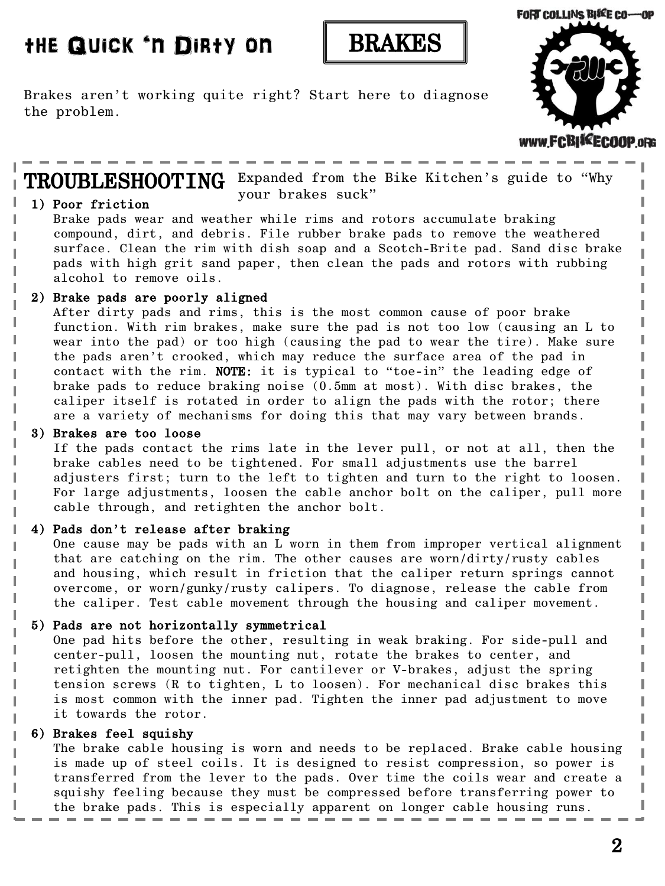### the Quick 'n Dirty on



Brakes aren't working quite right? Start here to diagnose the problem.



**TROUBLESHOOTING** Expanded from the Bike Kitchen's guide to "Why your brakes suck"

#### 1) Poor friction

ı

I

I

I ı

ı

ı ı I Brake pads wear and weather while rims and rotors accumulate braking compound, dirt, and debris. File rubber brake pads to remove the weathered surface. Clean the rim with dish soap and a Scotch-Brite pad. Sand disc brake pads with high grit sand paper, then clean the pads and rotors with rubbing alcohol to remove oils.

#### 2) Brake pads are poorly aligned

After dirty pads and rims, this is the most common cause of poor brake function. With rim brakes, make sure the pad is not too low (causing an L to wear into the pad) or too high (causing the pad to wear the tire). Make sure the pads aren't crooked, which may reduce the surface area of the pad in contact with the rim. NOTE: it is typical to "toe-in" the leading edge of brake pads to reduce braking noise (0.5mm at most). With disc brakes, the caliper itself is rotated in order to align the pads with the rotor; there are a variety of mechanisms for doing this that may vary between brands.

#### 3) Brakes are too loose

If the pads contact the rims late in the lever pull, or not at all, then the brake cables need to be tightened. For small adjustments use the barrel adjusters first; turn to the left to tighten and turn to the right to loosen. For large adjustments, loosen the cable anchor bolt on the caliper, pull more cable through, and retighten the anchor bolt.

#### 4) Pads don't release after braking

 One cause may be pads with an L worn in them from improper vertical alignment that are catching on the rim. The other causes are worn/dirty/rusty cables and housing, which result in friction that the caliper return springs cannot overcome, or worn/gunky/rusty calipers. To diagnose, release the cable from the caliper. Test cable movement through the housing and caliper movement.

#### 5) Pads are not horizontally symmetrical

 One pad hits before the other, resulting in weak braking. For side-pull and center-pull, loosen the mounting nut, rotate the brakes to center, and retighten the mounting nut. For cantilever or V-brakes, adjust the spring tension screws (R to tighten, L to loosen). For mechanical disc brakes this is most common with the inner pad. Tighten the inner pad adjustment to move it towards the rotor.

#### 6) Brakes feel squishy

 The brake cable housing is worn and needs to be replaced. Brake cable housing is made up of steel coils. It is designed to resist compression, so power is transferred from the lever to the pads. Over time the coils wear and create a squishy feeling because they must be compressed before transferring power to the brake pads. This is especially apparent on longer cable housing runs.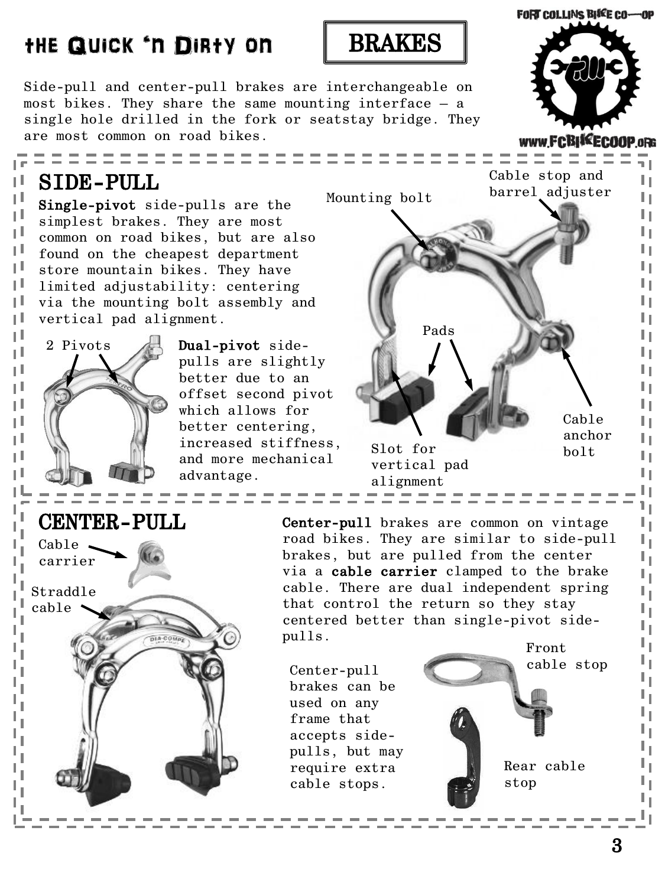### 3

# the Quick 'n Dirty on

Side-pull and center-pull brakes are interchangeable on most bikes. They share the same mounting interface – a single hole drilled in the fork or seatstay bridge. They are most common on road bikes.

BRAKES

# SIDE-PULL

Ш ΗI

ηt

ı I.

τL

μL.

ηL,

ιL

τI

ПI

ΗI

П

ΠI

H

П

H

H

ПI

2 Pivots

Single-pivot side-pulls are the simplest brakes. They are most common on road bikes, but are also found on the cheapest department store mountain bikes. They have limited adjustability: centering via the mounting bolt assembly and vertical pad alignment.





### CENTER-PULL

Cable  $\sim$ carrier Straddle cable DIA-COM Center-pull brakes are common on vintage road bikes. They are similar to side-pull brakes, but are pulled from the center via a cable carrier clamped to the brake cable. There are dual independent spring that control the return so they stay centered better than single-pivot sidepulls. Front

Center-pull brakes can be used on any frame that accepts sidepulls, but may require extra cable stops.

cable stop

Rear cable stop



n L

ι, ц. Ч. ц. ц. L, ц. ц.

ц. Ч. L. ц.

۱.

L, L,

========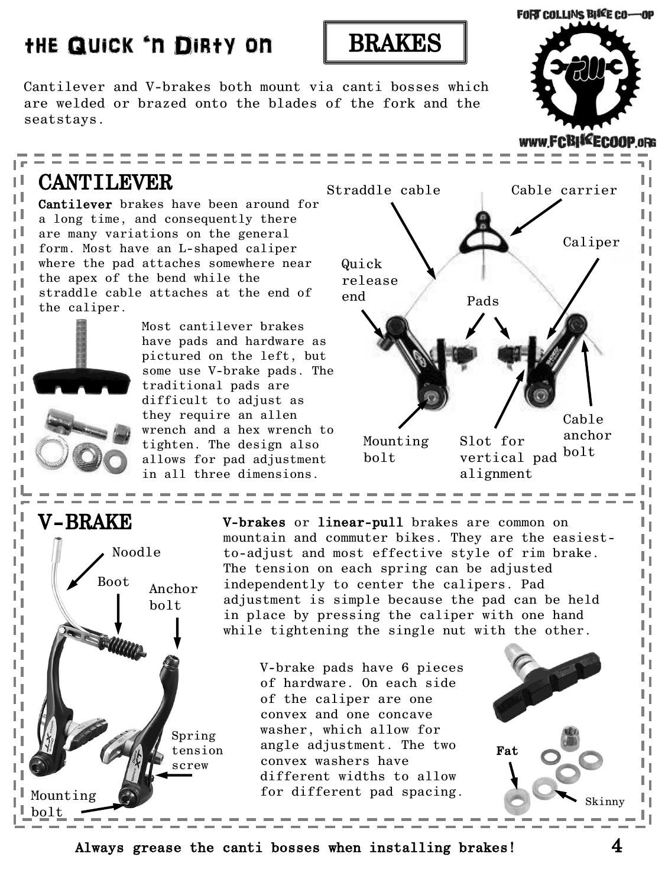## the Quick 'n Dirty on



Cantilever and V-brakes both mount via canti bosses which are welded or brazed onto the blades of the fork and the seatstays.

### CANTILEVER

Ш ΗI

ΗI

тI

тI

п.

r II

τL

тI

ΠI

ΗI

П

Ш

ΗI

П

Ш ΗI

Ш

Cantilever brakes have been around for a long time, and consequently there are many variations on the general form. Most have an L-shaped caliper where the pad attaches somewhere near the apex of the bend while the straddle cable attaches at the end of the caliper.

> Most cantilever brakes have pads and hardware as pictured on the left, but some use V-brake pads. The traditional pads are difficult to adjust as they require an allen wrench and a hex wrench to tighten. The design also allows for pad adjustment in all three dimensions.



Fat



V-brakes or linear-pull brakes are common on mountain and commuter bikes. They are the easiestto-adjust and most effective style of rim brake. The tension on each spring can be adjusted independently to center the calipers. Pad adjustment is simple because the pad can be held in place by pressing the caliper with one hand while tightening the single nut with the other.

V-brake pads have 6 pieces of hardware. On each side of the caliper are one convex and one concave washer, which allow for angle adjustment. The two convex washers have different widths to allow for different pad spacing.

Always grease the canti bosses when installing brakes!



www.FCBISEECOOP.oRG

n L

L L ۱. ц. ц. ц. ц. ц. ц. ц. L,

L. ۱.

Skinny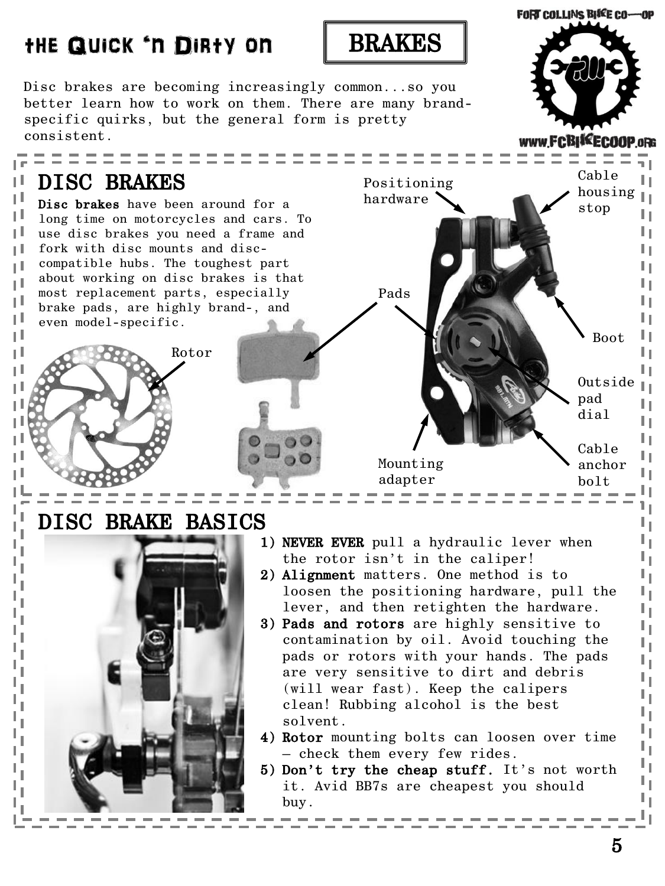